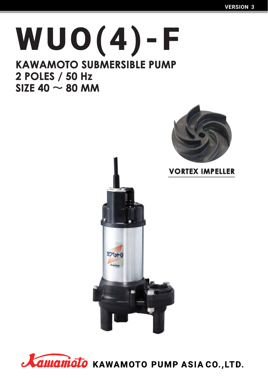# **WUO (4 )-F KAWAMOTO SUBMERSIBLE PUMP** 2 POLES / 50 Hz SIZE 40  $\sim$  80 MM





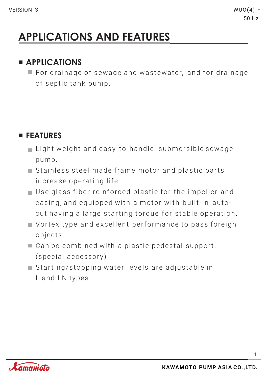# **APPLICATIONS AND FEATURES**

### **APPLICATIONS**

 $\blacksquare$  For drainage of sewage and wastewater, and for drainage of septic tank pump.

### **FEATURES**

- $\blacksquare$  Light weight and easy-to-handle submersible sewage p um p.
- $\blacksquare$  Stainless steel made frame motor and plastic parts increase operating life.
- $\blacksquare$  Use glass fiber reinforced plastic for the impeller and casing, and equipped with a motor with built-in autocut having a large starting torque for stable operation.
- Vortex type and excellent performance to pass foreign objects.
- $\blacksquare$  Can be combined with a plastic pedestal support. (special accessory)
- $\blacksquare$  Starting/stopping water levels are adjustable in L and LN types.

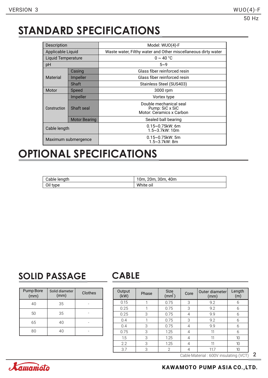### **STANDARD SPECIFICATIONS**

| Description               |                      | Model: WUO(4)-F                                                             |  |  |  |  |  |
|---------------------------|----------------------|-----------------------------------------------------------------------------|--|--|--|--|--|
| Applicable Liquid         |                      | Waste water, Filthy water and Other miscellaneous dirty water               |  |  |  |  |  |
| <b>Liquid Temperature</b> |                      | $0 \sim 40 °C$                                                              |  |  |  |  |  |
| рH                        |                      | $5 - 9$                                                                     |  |  |  |  |  |
|                           | Casing               | Glass fiber reinforced resin                                                |  |  |  |  |  |
| Material                  | Impeller             | Glass fiber reinforced resin                                                |  |  |  |  |  |
|                           | Shaft                | Stainless Steel (SUS403)                                                    |  |  |  |  |  |
| Motor                     | Speed                | 3000 rpm                                                                    |  |  |  |  |  |
|                           | Impeller             | Vortex type                                                                 |  |  |  |  |  |
| Construction              | Shaft seal           | Double mechanical seal<br>Pump: SiC x SiC<br>Motor: Ceramics x Carbon       |  |  |  |  |  |
|                           | <b>Motor Bearing</b> | Sealed ball bearing                                                         |  |  |  |  |  |
| Cable length              |                      | $0.15\negthinspace\negthinspace\negthinspace 0.75$ kW: 6m<br>1.5~3.7kW: 10m |  |  |  |  |  |
|                           | Maximum submergence  | $0.15 \sim 0.75$ kW: 5m<br>1.5~3.7kW: 8m                                    |  |  |  |  |  |

### **OPTIONAL SPECIFICATIONS**

| Cable length | 10m, 20m, 30m, 40m |
|--------------|--------------------|
| Oil type     | White oil          |

### **SOLID PASSAGE CABLE**

| Pump Bore<br>(mm) | Solid diameter<br>(mm) | Clothes |  |  |  |  |  |
|-------------------|------------------------|---------|--|--|--|--|--|
| 40                | 35                     |         |  |  |  |  |  |
| 50                | 35                     |         |  |  |  |  |  |
| 65                | 40                     |         |  |  |  |  |  |
| 80                | 40                     |         |  |  |  |  |  |

| Output<br>(kW) | Phase | <b>Size</b><br>(mm ) | Core | Outer diameter<br>(mm) | Length<br>(m) |
|----------------|-------|----------------------|------|------------------------|---------------|
| 0.15           | 1     | 0.75                 | 3    | 9.2                    | 6             |
| 0.25           |       | 0.75                 | 3    | 9.2                    | 6             |
| 0.25           | 3     | 0.75                 | 4    | 9.9                    | 6             |
| 0.4            |       | 0.75                 | 3    | 9.2                    | 6             |
| 0.4            | 3     | 0.75                 | 4    | 9.9                    | 6             |
| 0.75           | 3     | 1.25                 | 4    | 11                     | 6             |
| 1.5            | 3     | 1.25                 | 4    | 11                     | 10            |
| 2.2            | 3     | 1.25                 | 4    | 11                     | 10            |
| 3.7            | 3     | $\overline{2}$       | 4    | 11.7                   | 10            |

2 Cable Material : 600V insulating (VCT)

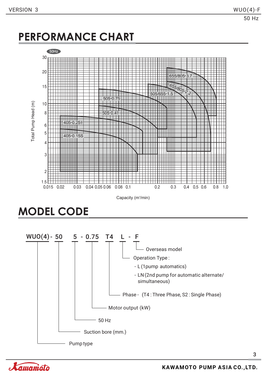### **PERFORMANCE CHART**



Capacity (m<sup>3</sup>/min)

**MODEL CODE**



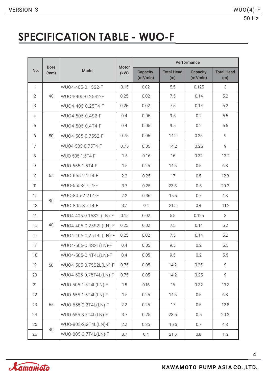## **SPECIFICATION TABLE - WUO-F**

|                | <b>Bore</b> |                        | <b>Motor</b> | Performance                              |                          |                                          |                          |  |  |  |  |
|----------------|-------------|------------------------|--------------|------------------------------------------|--------------------------|------------------------------------------|--------------------------|--|--|--|--|
| No.            | (mm)        | <b>Model</b>           | (kW)         | <b>Capacity</b><br>(m <sup>3</sup> /min) | <b>Total Head</b><br>(m) | <b>Capacity</b><br>(m <sup>3</sup> /min) | <b>Total Head</b><br>(m) |  |  |  |  |
| $\mathbf{1}$   |             | WU04-405-0.15S2-F      | 0.15         | 0.02                                     | 5.5                      | 0.125                                    | 3                        |  |  |  |  |
| $\overline{2}$ | 40          | WU04-405-0.25S2-F      | 0.25         | 0.02                                     | 7.5                      | 0.14                                     | 5.2                      |  |  |  |  |
| 3              |             | WU04-405-0.25T4-F      | 0.25         | 0.02                                     | 7.5                      | 0.14                                     | 5.2                      |  |  |  |  |
| $\overline{4}$ |             | WU04-505-0.4S2-F       | 0.4          | 0.05                                     | 9.5                      | 0.2                                      | 5.5                      |  |  |  |  |
| 5              |             | WU04-505-0.4T4-F       | 0.4          | 0.05                                     | 9.5                      | 0.2                                      | 5.5                      |  |  |  |  |
| 6              | 50          | WU04-505-0.75S2-F      | 0.75         | 0.05                                     | 14.2                     | 0.25                                     | 9                        |  |  |  |  |
| $\overline{7}$ |             | WU04-505-0.75T4-F      | 0.75         | 0.05                                     | 14.2                     | 0.25                                     | $\overline{9}$           |  |  |  |  |
| 8              |             | WUO-505-1.5T4-F        | 1.5          | 0.16                                     | 16                       | 0.32                                     | 13.2                     |  |  |  |  |
| 9              |             | WUO-655-1.5T4-F        | 1.5          | 0.25                                     | 14.5                     | 0.5                                      | 6.8                      |  |  |  |  |
| 10             | 65          | WUO-655-2.2T4-F        | 2.2          | 0.25                                     | 17                       | 0.5                                      | 12.8                     |  |  |  |  |
| 11             |             | WU0-655-3.7T4-F        | 3.7          | 0.25                                     | 23.5                     | 0.5                                      | 20.2                     |  |  |  |  |
| 12             |             | WUO-805-2.2T4-F        | 2.2          | 0.36                                     | 15.5                     | 0.7                                      | 4.8                      |  |  |  |  |
| 13             | 80          | WU0-805-3.7T4-F        | 3.7          | 0.4                                      | 21.5                     | 0.8                                      | 11.2                     |  |  |  |  |
| 14             |             | WU04-405-0.15S2L(LN)-F | 0.15         | 0.02                                     | 5.5                      | 0.125                                    | 3                        |  |  |  |  |
| 15             | 40          | WU04-405-0.25S2L(LN)-F | 0.25         | 0.02                                     | 7.5                      | 0.14                                     | 5.2                      |  |  |  |  |
| 16             |             | WU04-405-0.25T4L(LN)-F | 0.25         | 0.02                                     | 7.5                      | 0.14                                     | 5.2                      |  |  |  |  |
| 17             |             | WU04-505-0.4S2L(LN)-F  | 0.4          | 0.05                                     | 9.5                      | 0.2                                      | 5.5                      |  |  |  |  |
| 18             |             | WU04-505-0.4T4L(LN)-F  | 0.4          | 0.05                                     | 9.5                      | 0.2                                      | 5.5                      |  |  |  |  |
| 19             | 50          | WU04-505-0.75S2L(LN)-F | 0.75         | 0.05                                     | 14.2                     | 0.25                                     | 9                        |  |  |  |  |
| 20             |             | WU04-505-0.75T4L(LN)-F | 0.75         | 0.05                                     | 14.2                     | 0.25                                     | 9                        |  |  |  |  |
| 21             |             | WU0-505-1.5T4L(LN)-F   | 1.5          | 0.16                                     | 16                       | 0.32                                     | 13.2                     |  |  |  |  |
| 22             |             | WU0-655-1.5T4L(LN)-F   | 1.5          | 0.25                                     | 14.5                     | 0.5                                      | 6.8                      |  |  |  |  |
| 23             | 65          | WU0-655-2.2T4L(LN)-F   | 2.2          | 0.25                                     | 17                       | 0.5                                      | 12.8                     |  |  |  |  |
| 24             |             | WU0-655-3.7T4L(LN)-F   | 3.7          | 0.25                                     | 23.5                     | 0.5                                      | 20.2                     |  |  |  |  |
| 25             |             | WU0-805-2.2T4L(LN)-F   | 2.2          | 0.36                                     | 15.5                     | 0.7                                      | 4.8                      |  |  |  |  |
| 26             | 80          | WU0-805-3.7T4L(LN)-F   | 3.7          | 0.4                                      | 21.5                     | 0.8                                      | 11.2                     |  |  |  |  |

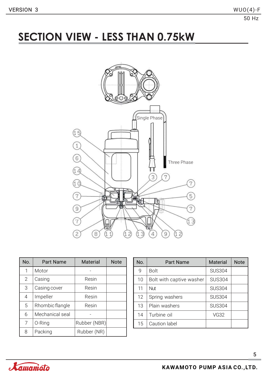### **SECTION VIEW - LESS THAN 0.75kW**



| No. | <b>Part Name</b> | <b>Material</b> | <b>Note</b> |
|-----|------------------|-----------------|-------------|
| 1   | Motor            |                 |             |
| 2   | Casing           | Resin           |             |
| 3   | Casing cover     | Resin           |             |
| 4   | Impeller         | Resin           |             |
| 5   | Rhombic flangle  | Resin           |             |
| 6   | Mechanical seal  |                 |             |
| 7   | 0-Ring           | Rubber (NBR)    |             |
| 8   | Packing          | Rubber (NR)     |             |

| No. | <b>Part Name</b>         | <b>Material</b> | <b>Note</b> |
|-----|--------------------------|-----------------|-------------|
| 9   | <b>Bolt</b>              | <b>SUS304</b>   |             |
| 10  | Bolt with captive washer | <b>SUS304</b>   |             |
| 11  | Nut                      | <b>SUS304</b>   |             |
| 12  | Spring washers           | <b>SUS304</b>   |             |
| 13  | Plain washers            | <b>SUS304</b>   |             |
| 14  | Turbine oil              | <b>VG32</b>     |             |
| 15  | Caution label            |                 |             |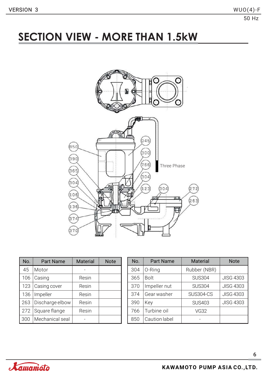### **SECTION VIEW - MORE THAN 1.5kW**



| No. | <b>Part Name</b> | <b>Material</b> | <b>Note</b> |
|-----|------------------|-----------------|-------------|
| 45  | Motor            |                 |             |
| 106 | Casing           | Resin           |             |
| 123 | Casing cover     | Resin           |             |
| 136 | Impeller         | Resin           |             |
| 263 | Discharge elbow  | Resin           |             |
| 272 | Square flange    | Resin           |             |
| 300 | Mechanical seal  |                 |             |

| No. | <b>Part Name</b> | <b>Material</b>  | <b>Note</b>      |
|-----|------------------|------------------|------------------|
| 304 | 0-Ring           | Rubber (NBR)     |                  |
| 365 | <b>Bolt</b>      | <b>SUS304</b>    | <b>JISG 4303</b> |
| 370 | Impeller nut     | <b>SUS304</b>    | <b>JISG 4303</b> |
| 374 | Gear washer      | <b>SUS304-CS</b> | <b>JISG 4303</b> |
| 390 | Key              | <b>SUS403</b>    | <b>JISG 4303</b> |
| 766 | Turbine oil      | <b>VG32</b>      |                  |
| 850 | Caution label    |                  |                  |

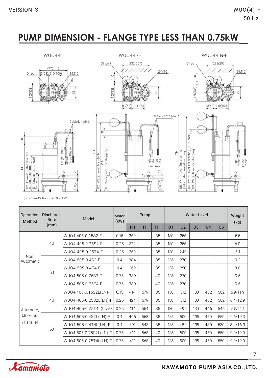### **PUMP DIMENSION - FLANGE TYPE LESS THAN 0.75kW**



( )...when it's less than 0.25kW.

| Operation<br>Method     | Discharge<br><b>Bore</b> | Model                  | Motor<br>(kW) |     | Pump           |                 | <b>Water Level</b> |                |                |                |                          | Weight<br>(kg) |
|-------------------------|--------------------------|------------------------|---------------|-----|----------------|-----------------|--------------------|----------------|----------------|----------------|--------------------------|----------------|
|                         | (mm)                     |                        |               | PH  | H1             | TH <sub>1</sub> | U1                 | U <sub>2</sub> | U <sub>3</sub> | U <sub>4</sub> | U <sub>5</sub>           |                |
|                         | 40                       | WU04-405-0.15S2-F      | 0.15          | 360 | $\overline{a}$ | 35              | 130                | 256            | $\overline{a}$ | $\overline{a}$ |                          | 5.5            |
|                         |                          | WU04-405-0.25S2-F      | 0.25          | 370 | ٠              | 35              | 130                | 256            | ٠              | $\overline{a}$ | $\overline{\phantom{0}}$ | 6.0            |
|                         |                          | WU04-405-0.25T4-F      | 0.25          | 360 | ٠              | 35              | 130                | 240            | ٠              | $\overline{a}$ |                          | 5.1            |
| <b>Non</b><br>Automatic | 50                       | WU04-505-0.4S2-F       | 0.4           | 384 | $\overline{a}$ | 35              | 135                | 270            | $\overline{a}$ |                | $\overline{a}$           | 9.2            |
|                         |                          | WU04-505-0.4T4-F       | 0.4           | 369 | $\overline{a}$ | 35              | 135                | 250            | ٠              | $\overline{a}$ | $\overline{a}$           | 8.0            |
|                         |                          | WU04-505-0.75S2-F      | 0.75          | 389 | $\overline{a}$ | 40              | 135                | 270            | $\overline{a}$ | $\overline{a}$ | $\overline{\phantom{0}}$ | 9.5            |
|                         |                          | WU04-505-0.75T4-F      | 0.75          | 389 | $\overline{a}$ | 40              | 135                | 270            | $\overline{a}$ | $\overline{a}$ | $\qquad \qquad -$        | 9.5            |
|                         |                          | WU04-405-0.15S2L(LN)-F | 0.15          | 414 | 579            | 35              | 130                | 512            | 130            | 462            | 562                      | 5.9/11.9       |
|                         | 40                       | WU04-405-0.25S2L(LN)-F | 0.25          | 424 | 579            | 35              | 130                | 512            | 130            | 462            | 562                      | 6.4/12.9       |
| Alternate.              |                          | WU04-405-0.25T4L(LN)-F | 0.25          | 414 | 564            | 35              | 130                | 496            | 130            | 446            | 546                      | 5.5/11.1       |
| Alternate               |                          | WU04-505-0.4S2L(LN)-F  | 0.4           | 406 | 568            | 35              | 135                | 500            | 135            | 450            | 550                      | 9.6/19.3       |
| /Parallel               |                          | WU04-505-0.4T4L(LN)-F  | 0.4           | 391 | 548            | 35              | 135                | 480            | 135            | 430            | 530                      | 8.4/16.9       |
|                         | 50                       | WU04-505-0.75S2L(LN)-F | 0.75          | 411 | 568            | 40              | 135                | 500            | 135            | 450            | 550                      | 9.9/19.9       |
|                         |                          | WU04-505-0.75T4L(LN)-F | 0.75          | 411 | 568            | 40              | 135                | 500            | 135            | 450            | 550                      | 9.9/19.9       |

7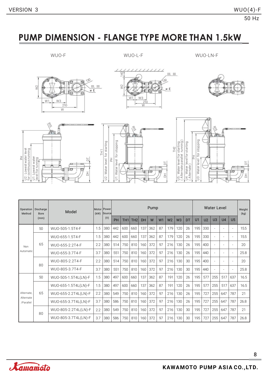### **PUMP DIMENSION - FLANGE TYPE MORE THAN 1.5kW**

WUO-F WUO-L-F WUO-LN-F













| Operation<br>Method    | Discharge<br><b>Bore</b> | Model                | (kW) | Motor Power<br>Source | Pump |                 |                 |           |     |    |                |                |    | Water Level |                |                          |                          |                          | Weight<br>(kg) |
|------------------------|--------------------------|----------------------|------|-----------------------|------|-----------------|-----------------|-----------|-----|----|----------------|----------------|----|-------------|----------------|--------------------------|--------------------------|--------------------------|----------------|
|                        | (mm)                     |                      |      | (V)                   | PH   | TH <sub>1</sub> | TH <sub>2</sub> | <b>DH</b> | W   | W1 | W <sub>2</sub> | W <sub>3</sub> | DT | U1          | U <sub>2</sub> | U <sub>3</sub>           | U <sub>4</sub>           | U <sub>5</sub>           |                |
|                        | 50                       | WUO-505-1.5T4-F      | 1.5  | 380                   | 442  | 600             | 660             | 137       | 362 | 87 | 179            | 120            | 26 | 195         | 330            | $\sim$                   | $\overline{\phantom{a}}$ | ٠                        | 15.5           |
|                        |                          | WUO-655-1.5T4-F      | 1.5  | 380                   | 442  | 600             | 660             | 137       | 362 | 87 | 179            | 120            | 26 | 195         | 330            | $\overline{\phantom{a}}$ | $\sim$                   | $\overline{\phantom{a}}$ | 15.5           |
| Non<br>Automatic       | 65                       | WU0-655-2.2T4-F      | 2.2  | 380                   | 514  | 750             | 810             | 160       | 372 | 97 | 216            | 130            | 26 | 195         | 400            | $\overline{\phantom{a}}$ | ÷                        |                          | 20             |
|                        |                          | WUO-655-3.7T4-F      | 3.7  | 380                   | 551  | 750             | 810             | 160       | 372 | 97 | 216            | 130            | 26 | 195         | 440            | $\overline{\phantom{a}}$ | $\overline{\phantom{a}}$ |                          | 25.8           |
|                        | 80                       | WU0-805-2.2T4-F      | 2.2  | 380                   | 514  | 750             | 810             | 160       | 372 | 97 | 216            | 130            | 30 | 195         | 400            | $\overline{\phantom{a}}$ | $\overline{\phantom{a}}$ |                          | 20             |
|                        |                          | WUO-805-3.7T4-F      | 3.7  | 380                   | 551  | 750             | 810             | 160       | 372 | 97 | 216            | 130            | 30 | 195         | 440            | $\overline{\phantom{a}}$ | $\overline{\phantom{a}}$ |                          | 25.8           |
|                        | 50                       | WUO-505-1.5T4L(LN)-F | 1.5  | 380                   | 497  | 600             | 660             | 137       | 362 | 87 | 191            | 120            | 26 | 195         | 577            | 255                      | 517                      | 637                      | 16.5           |
|                        |                          | WU0-655-1.5T4L(LN)-F | 1.5  | 380                   | 497  | 600             | 660             | 137       | 362 | 87 | 191            | 120            | 26 | 195         | 577            | 255                      | 517                      | 637                      | 16.5           |
| Alternate,             | 65                       | WU0-655-2.2T4L(LN)-F | 2.2  | 380                   | 549  | 750             | 810             | 160       | 372 | 97 | 216            | 130            | 26 | 195         | 727            | 255                      | 647                      | 787                      | 21             |
| Alternate<br>/Parallel |                          | WU0-655-3.7T4L(LN)-F | 3.7  | 380                   | 586  | 750             | 810             | 160       | 372 | 97 | 216            | 130            | 26 | 195         | 727            | 255                      | 647                      | 787                      | 26.8           |
|                        | 80                       | WU0-805-2.2T4L(LN)-F | 2.2  | 380                   | 549  | 750             | 810             | 160       | 372 | 97 | 216            | 130            | 30 | 195         | 727            | 255                      | 647                      | 787                      | 21             |
|                        |                          | WU0-805-3.7T4L(LN)-F | 3.7  | 380                   | 586  | 750             | 810             | 160       | 372 | 97 | 216            | 130            | 30 | 195         | 727            | 255                      | 647                      | 787                      | 26.8           |

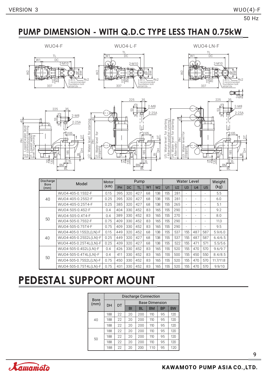### **PUMP DIMENSION - WITH Q.D.C TYPE LESS THAN 0.75kW**





225 35



୍କ 의

<u>BL</u> **BM** 

15

 $\overline{\mathbf{m}}$ 



 $\boxed{Di}$ 



| scharge<br><b>Bore</b> | Model                  | Motor |     |     | Pump |                |                |     | Weight         |                |                |                          |           |
|------------------------|------------------------|-------|-----|-----|------|----------------|----------------|-----|----------------|----------------|----------------|--------------------------|-----------|
| (mm)                   |                        | (kW)  | PH  | DC  | TL   | W <sub>1</sub> | W <sub>2</sub> | U1  | U <sub>2</sub> | U <sub>3</sub> | U <sub>4</sub> | U <sub>5</sub>           | (kg)      |
| 40                     | WU04-405-0.15S2-F      | 0.15  | 395 | 320 | 427  | 68             | 138            | 155 | 281            | ۰              |                | $\overline{\phantom{a}}$ | 5.5       |
|                        | WU04-405-0.25S2-F      | 0.25  | 395 | 320 | 427  | 68             | 138            | 155 | 281            | $\overline{a}$ | ۰              |                          | 6.0       |
|                        | WU04-405-0.25T4-F      | 0.25  | 385 | 320 | 427  | 68             | 138            | 155 | 265            | $\overline{a}$ |                |                          | 5.1       |
| 50                     | WU04-505-0.4S2-F       | 0.4   | 404 | 330 | 452  | 83             | 165            | 155 | 290            | ٠              |                | $\overline{\phantom{a}}$ | 9.2       |
|                        | WU04-505-0.4T4-F       | 0.4   | 389 | 330 | 452  | 83             | 165            | 155 | 270            | ۰              |                |                          | 8.0       |
|                        | WU04-505-0.75S2-F      | 0.75  | 409 | 330 | 452  | 83             | 165            | 155 | 290            | ۰              |                |                          | 11.3      |
|                        | WU04-505-0.75T4-F      | 0.75  | 409 | 330 | 452  | 83             | 165            | 155 | 290            | $\overline{a}$ |                | $\overline{\phantom{a}}$ | 9.5       |
|                        | WU04-405-0.15S2L(LN)-F | 0.15  | 449 | 320 | 452  | 68             | 138            | 155 | 537            | 155            | 487            | 587                      | 5.9/6.0   |
| 40                     | WU04-405-0.25S2L(LN)-F | 0.25  | 449 | 320 | 427  | 68             | 138            | 155 | 537            | 155            | 487            | 587                      | 6.4/6.5   |
|                        | WU04-405-0.25T4L(LN)-F | 0.25  | 439 | 320 | 427  | 68             | 138            | 155 | 522            | 155            | 471            | 571                      | 5.5/5.6   |
|                        | WU04-505-0.4S2L(LN)-F  | 0.4   | 426 | 330 | 452  | 83             | 165            | 155 | 520            | 155            | 470            | 570                      | 9.6/9.7   |
|                        | WU04-505-0.4T4L(LN)-F  | 0.4   | 411 | 330 | 452  | 83             | 165            | 155 | 500            | 155            | 450            | 550                      | 8.4/8.5   |
| 50                     | WU04-505-0.75S2L(LN)-F | 0.75  | 450 | 330 | 452  | 83             | 165            | 155 | 520            | 155            | 470            | 570                      | 11.7/11.8 |
|                        | WU04-505-0.75T4L(LN)-F | 0.75  | 431 | 330 | 452  | 83             | 165            | 155 | 520            | 155            | 470            | 570                      | 9.9/10    |

### **PEDESTAL SUPPORT MOUNT**

| <b>Bore</b> | Discharge Connection |    |                       |           |           |           |           |  |  |  |  |  |  |  |
|-------------|----------------------|----|-----------------------|-----------|-----------|-----------|-----------|--|--|--|--|--|--|--|
| (mm)        | DH                   | DT | <b>Base Dimension</b> |           |           |           |           |  |  |  |  |  |  |  |
|             |                      |    | BI                    | <b>BL</b> | <b>BM</b> | <b>BP</b> | <b>BW</b> |  |  |  |  |  |  |  |
| 40          | 188                  | 22 | 20                    | 200       | 110       | 95        | 120       |  |  |  |  |  |  |  |
|             | 188                  | 22 | 20                    | 200       | 110       | 95        | 120       |  |  |  |  |  |  |  |
|             | 188                  | 22 | 20                    | 200       | 110       | 95        | 120       |  |  |  |  |  |  |  |
| 50          | 188                  | 22 | 20                    | 200       | 110       | 95        | 120       |  |  |  |  |  |  |  |
|             | 188                  | 22 | 20                    | 200       | 110       | 95        | 120       |  |  |  |  |  |  |  |
|             | 188                  | 22 | 20                    | 200       | 110       | 95        | 120       |  |  |  |  |  |  |  |
|             | 188                  | 22 | 20                    | 200       | 110       | 95        | 120       |  |  |  |  |  |  |  |

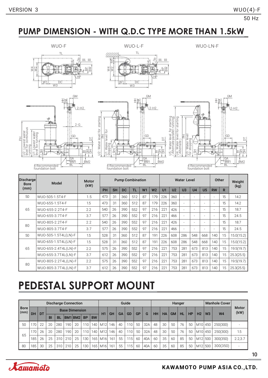### **PUMP DIMENSION - WITH Q.D.C TYPE MORE THAN 1.5kW**









| Discharge<br><b>Bore</b> | Model                | <b>Motor</b><br>(kW) |     |           |           | <b>Pump Combination</b> |                |                |     | <b>Water Level</b> | Other                    |       | Weight<br>(kg)           |                          |    |            |  |
|--------------------------|----------------------|----------------------|-----|-----------|-----------|-------------------------|----------------|----------------|-----|--------------------|--------------------------|-------|--------------------------|--------------------------|----|------------|--|
| (mm)                     |                      |                      | PH  | <b>SH</b> | <b>DC</b> | <b>TL</b>               | W <sub>1</sub> | W <sub>2</sub> | U1  | U <sub>2</sub>     | U3                       | $U_4$ | U <sub>5</sub>           | <b>RW</b>                | R. |            |  |
| 50                       | WUO-505-1.5T4-F      | 1.5                  | 473 | 31        | 360       | 512                     | 87             | 179            | 226 | 360                |                          |       | $\overline{a}$           |                          | 15 | 14.2       |  |
|                          | WUO-655-1.5T4-F      | 1.5                  | 473 | 31        | 360       | 512                     | 87             | 179            | 226 | 360                |                          | ٠     | ٠                        | $\overline{\phantom{a}}$ | 15 | 14.2       |  |
| 65                       | WUO-655-2.2T4-F      | 2.2                  | 540 | 26        | 390       | 552                     | 97             | 216            | 221 | 426                |                          | ٠     | $\overline{\phantom{a}}$ |                          | 15 | 18.7       |  |
|                          | WUO-655-3.7T4-F      | 3.7                  | 577 | 26        | 390       | 552                     | 97             | 216            | 221 | 466                |                          |       | ٠                        |                          | 15 | 24.5       |  |
| 80                       | WUO-805-2.2T4-F      | 2.2                  | 540 | 26        | 390       | 552                     | 97             | 216            | 221 | 426                |                          |       | ٠                        |                          | 15 | 18.7       |  |
|                          | WUO-805-3.7T4-F      | 3.7                  | 577 | 26        | 390       | 552                     | 97             | 216            | 221 | 466                | $\overline{\phantom{a}}$ | ٠     | ٠                        | -                        | 15 | 24.5       |  |
| 50 <sub>2</sub>          | WU0-505-1.5T4L(LN)-F | 1.5                  | 528 | 31        | 360       | 512                     | 87             | 191            | 226 | 608                | 286                      | 548   | 668                      | 140                      | 15 | 15.0(15.2) |  |
| 65                       | WUO-655-1.5T4L(LN)-F | 1.5                  | 528 | 31        | 360       | 512                     | 87             | 191            | 226 | 608                | 286                      | 548   | 668                      | 140                      | 15 | 15.0(15.2) |  |
|                          | WU0-655-2.4T4L(LN)-F | 2.2                  | 575 | 26        | 390       | 552                     | 97             | 216            | 221 | 753                | 281                      | 673   | 813                      | 140                      | 15 | 19.5(19.7) |  |
|                          | WU0-655-3.7T4L(LN)-F | 3.7                  | 612 | 26        | 390       | 552                     | 97             | 216            | 221 | 753                | 281                      | 673   | 813                      | 140                      | 15 | 25.3(25.5) |  |
| 80                       | WUO-805-2.2T4L(LN)-F | 2.2                  | 575 | 26        | 390       | 552                     | 97             | 216            | 221 | 753                | 281                      | 673   | 813                      | 140                      | 15 | 19.5(19.7) |  |
|                          | WU0-805-3.7T4L(LN)-F | 3.7                  | 612 | 26        | 390       | 552                     | 97             | 216            | 221 | 753                | 281                      | 673   | 813                      | 140                      | 15 | 25.3(25.5) |  |

## **PEDESTAL SUPPORT MOUNT**

|                       | <b>Discharge Connection</b> |           |                       |     |         |    |           | Guide     |                 |     |           |           |     | Hanger |           |    |           |           |                |                     | <b>Manhole Cover</b> |               |         |
|-----------------------|-----------------------------|-----------|-----------------------|-----|---------|----|-----------|-----------|-----------------|-----|-----------|-----------|-----|--------|-----------|----|-----------|-----------|----------------|---------------------|----------------------|---------------|---------|
| l Bore<br>$\mid$ (mm) | <b>DH</b>                   | <b>DT</b> | <b>Base Dimension</b> |     |         |    |           |           |                 |     |           | GP        | G   |        | <b>HA</b> |    | TIL.      | <b>HP</b> | H <sub>2</sub> |                     | W <sub>4</sub>       | Motor<br>(kW) |         |
|                       |                             |           | <b>BI</b>             | BL  | BM1 BM2 |    | <b>BP</b> | <b>BW</b> | H1              | GH  | <b>GA</b> | <b>GD</b> |     |        | HH        |    | <b>GM</b> |           |                |                     | W <sub>3</sub>       |               |         |
| 50                    | $\neg \wedge$               | 22        | 20                    | 280 | 190     | 20 | 110       | 140       | M12             | 146 | 40        | 110       | 50  | 32A    | 48        | 30 | 50        | 76        | 50             | M <sub>10</sub> 450 |                      | 250(300)      |         |
| 65                    | 70                          | 26        | 20                    | 280 | 190     | 20 | 110       | 140       | M12             | 146 | 40        | 110       | 50  | 32A    | 48        | 30 | 50        | 76        | 50             | M10                 | 450                  | 250(300)      | 1.5     |
|                       | 185                         | 26        | 25                    | 310 | 210     | 25 | 130       | 165       | M <sub>16</sub> | 161 | 55        | 1151      | -60 | 40A    | 60        | 35 | 60        | 85        | 50             | M12                 | 500                  | 300(350)      | 2.2,3.7 |
| 80                    | 185                         | 30        | 25                    | 310 | 210     | 25 | 130       | 165       | M <sub>16</sub> | 161 | 55        | 115       | 60  | 40A    | 60        | 35 | 60        | 85        | 50             | M12                 | 500                  | 300(350)      | -       |

10

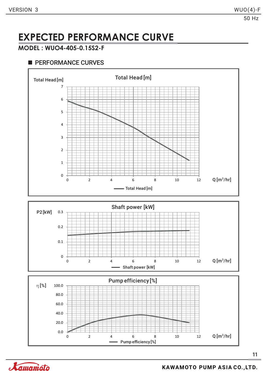### **EXPECTED PERFORMANCE CURVE**

#### **MODEL : WUO4-405-0.15S2-F**

### **PERFORMANCE CURVES**





Pump efficiency [%]

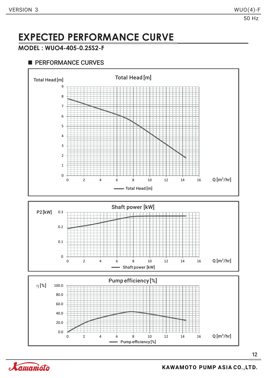### **EXPECTED PERFORMANCE CURVE**

#### **MODEL : WUO4-405-0.25S2-F**

### **PERFORMANCE CURVES**





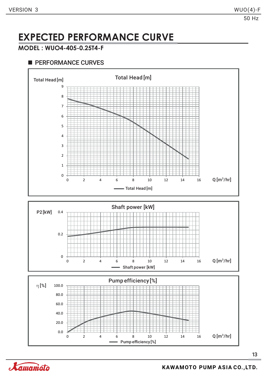### **EXPECTED PERFORMANCE CURVE**

#### **MODEL : WUO4-405-0.25T4-F**

### **PERFORMANCE CURVES**





Pump efficiency [%]

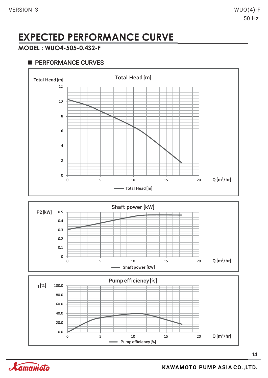### **EXPECTED PERFORMANCE CURVE**

#### **MODEL : WUO4-505-0.4S2-F**

#### **PERFORMANCE CURVES**





Pump efficiency [%]

0 5 10 15 20

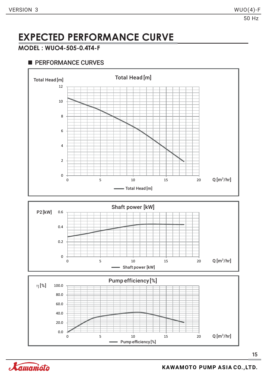### **EXPECTED PERFORMANCE CURVE**

#### **MODEL : WUO4-505-0.4T4-F**

#### **PERFORMANCE CURVES**





Pump efficiency [%]

0 5 10 15 20

0.0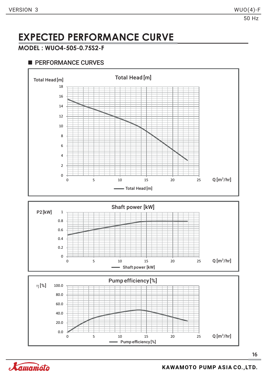### **EXPECTED PERFORMANCE CURVE**

#### **MODEL : WUO4-505-0.75S2-F**

### **PERFORMANCE CURVES**



Pump efficiency [%]

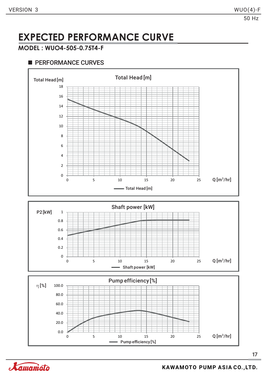### **EXPECTED PERFORMANCE CURVE**

#### **MODEL : WUO4-505-0.75T4-F**

### **PERFORMANCE CURVES**



Pump efficiency [%]

0 5 10 15 20 25

0.0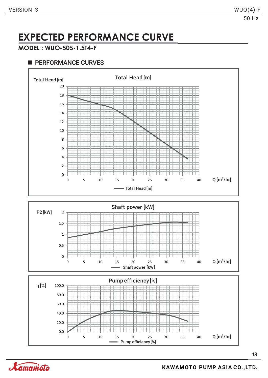### **EXPECTED PERFORMANCE CURVE**

#### **MODEL : WUO-505-1.5T4-F**

#### **PERFORMANCE CURVES**





Pump efficiency [%]

0 5 10 15 20 25 30 35 40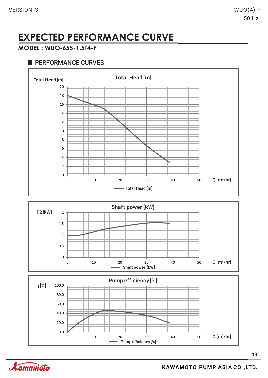### **EXPECTED PERFORMANCE CURVE**

#### **MODEL : WUO-655-1.5T4-F**

#### **PERFORMANCE CURVES**



Pump efficiency [%]

0 10 20 30 40 50



0.0

20.0

40.0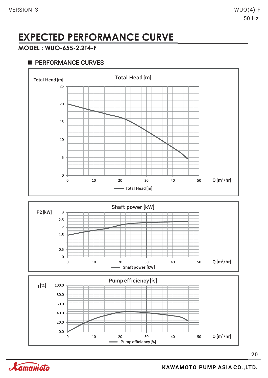### **EXPECTED PERFORMANCE CURVE**

#### **MODEL : WUO-655-2.2T4-F**

#### **PERFORMANCE CURVES**



Pump efficiency [%]

0 10 20 30 40 50

0.0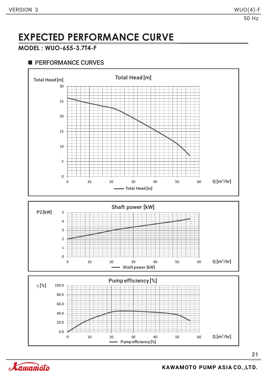### **EXPECTED PERFORMANCE CURVE**

### **MODEL : WUO-655-3.7T4-F**

### **PERFORMANCE CURVES**

2 3





21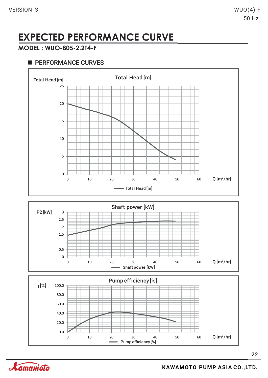### **EXPECTED PERFORMANCE CURVE**

#### **MODEL : WUO-805-2.2T4-F**

### **PERFORMANCE CURVES**





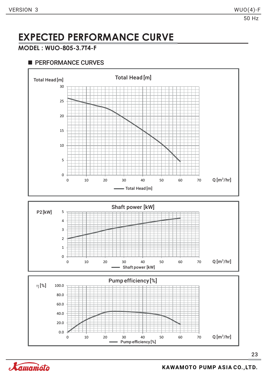### **EXPECTED PERFORMANCE CURVE**

#### **MODEL : WUO-805-3.7T4-F**

#### **PERFORMANCE CURVES**





Pump efficiency [%]

0 10 20 30 40 50 60 70

0.0

20.0

40.0